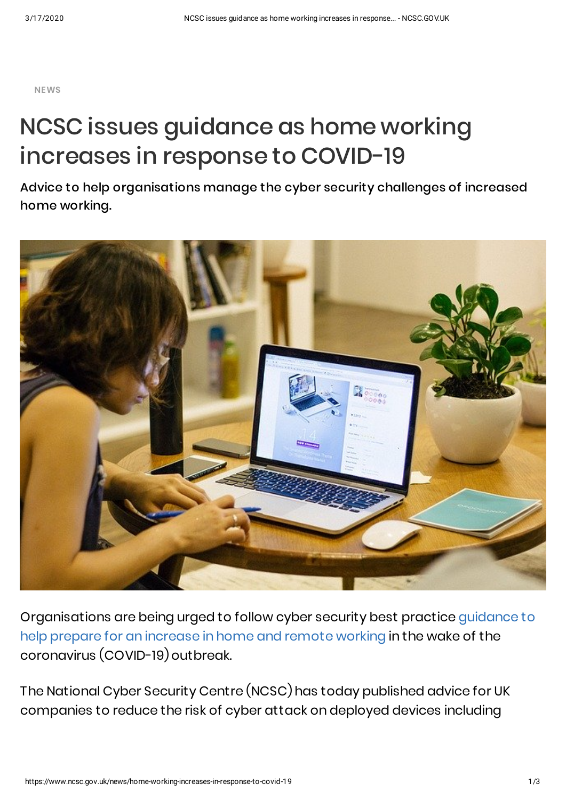**NEWS**

## NCSC issues guidance as home working increases in response to COVID-19

Advice to help organisations manage the cyber security challenges of increased home working.



[Organisations](https://www.ncsc.gov.uk/guidance/home-working) are being urged to follow cyber security best practice guidance to help prepare for an increase in home and remote working in the wake of the coronavirus (COVID-19) outbreak.

The National Cyber Security Centre (NCSC) has today published advice for UK companies to reduce the risk of cyber attack on deployed devices including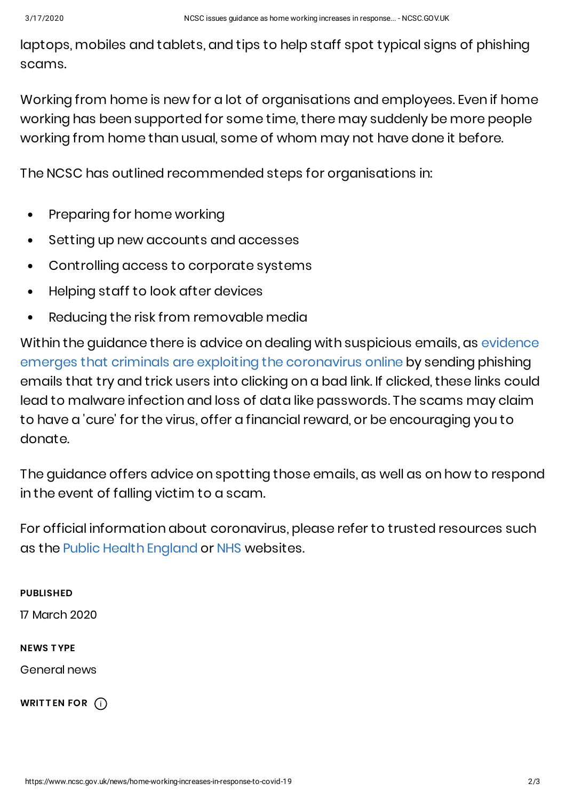laptops, mobiles and tablets, and tips to help staff spot typical signs of phishing scams.

Working from home is new for a lot of organisations and employees. Even if home working has been supported for some time, there may suddenly be more people working from home than usual, some of whom may not have done it before.

The NCSC has outlined recommended steps for organisations in:

- Preparing for home working  $\bullet$
- Setting up new accounts and accesses  $\bullet$
- Controlling access to corporate systems  $\bullet$
- Helping staff to look after devices
- Reducing the risk from removable media

Within the guidance there is advice on dealing with suspicious emails, as evidence emerges that criminals are exploiting the [coronavirus](https://www.ncsc.gov.uk/news/cyber-experts-step-criminals-exploit-coronavirus) online by sending phishing emails that try and trick users into clicking on a bad link. If clicked, these links could lead to malware infection and loss of data like passwords. The scams may claim to have a 'cure' for the virus, offer a financial reward, or be encouraging you to donate.

The guidance offers advice on spotting those emails, as well as on how to respond in the event of falling victim to a scam.

For official information about coronavirus, please refer to trusted resources such as the Public Health [England](https://www.gov.uk/government/organisations/public-health-england) or [NHS](https://www.nhs.uk/conditions/coronavirus-covid-19/) websites.

## **PUBLISHED**

17 March 2020

## **NEWS T YPE**

General news

**WRITTEN FOR** (i)